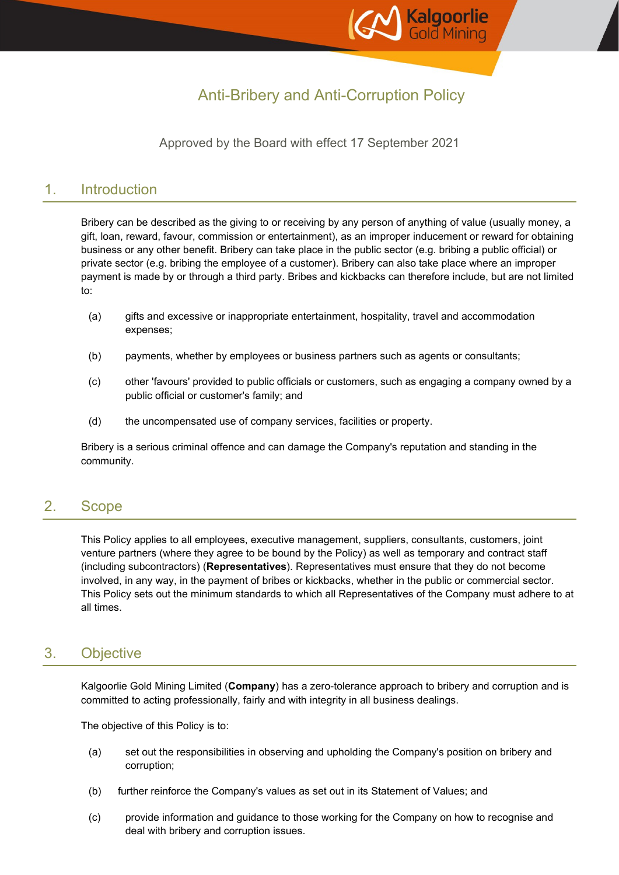

# Anti-Bribery and Anti-Corruption Policy

### Approved by the Board with effect 17 September 2021

### 1. Introduction

Bribery can be described as the giving to or receiving by any person of anything of value (usually money, a gift, loan, reward, favour, commission or entertainment), as an improper inducement or reward for obtaining business or any other benefit. Bribery can take place in the public sector (e.g. bribing a public official) or private sector (e.g. bribing the employee of a customer). Bribery can also take place where an improper payment is made by or through a third party. Bribes and kickbacks can therefore include, but are not limited to:

- (a) gifts and excessive or inappropriate entertainment, hospitality, travel and accommodation expenses;
- (b) payments, whether by employees or business partners such as agents or consultants;
- (c) other 'favours' provided to public officials or customers, such as engaging a company owned by a public official or customer's family; and
- (d) the uncompensated use of company services, facilities or property.

Bribery is a serious criminal offence and can damage the Company's reputation and standing in the community.

## 2. Scope

This Policy applies to all employees, executive management, suppliers, consultants, customers, joint venture partners (where they agree to be bound by the Policy) as well as temporary and contract staff (including subcontractors) (**Representatives**). Representatives must ensure that they do not become involved, in any way, in the payment of bribes or kickbacks, whether in the public or commercial sector. This Policy sets out the minimum standards to which all Representatives of the Company must adhere to at all times.

## 3. Objective

Kalgoorlie Gold Mining Limited (**Company**) has a zero-tolerance approach to bribery and corruption and is committed to acting professionally, fairly and with integrity in all business dealings.

The objective of this Policy is to:

- (a) set out the responsibilities in observing and upholding the Company's position on bribery and corruption;
- (b) further reinforce the Company's values as set out in its Statement of Values; and
- (c) provide information and guidance to those working for the Company on how to recognise and deal with bribery and corruption issues.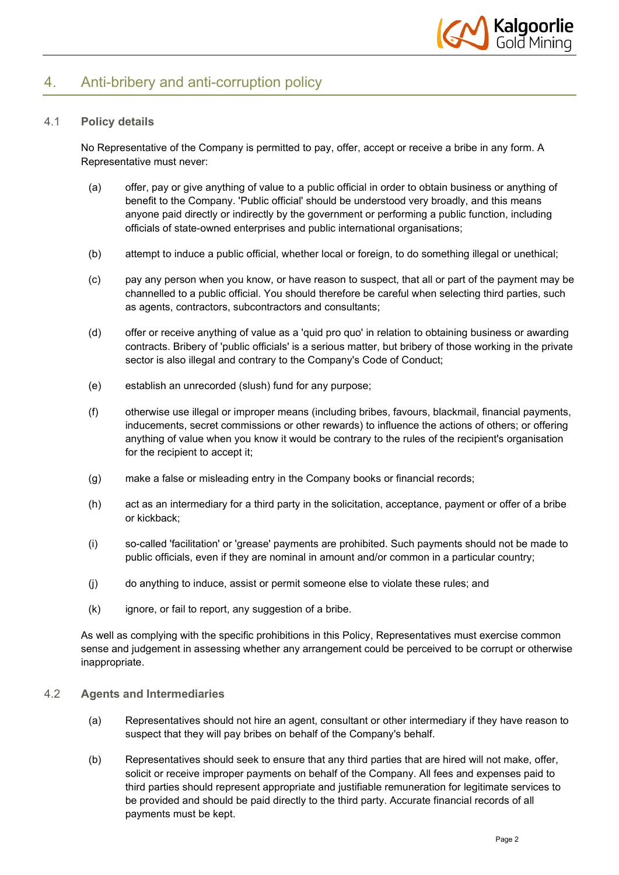

## 4. Anti-bribery and anti-corruption policy

#### 4.1 **Policy details**

No Representative of the Company is permitted to pay, offer, accept or receive a bribe in any form. A Representative must never:

- (a) offer, pay or give anything of value to a public official in order to obtain business or anything of benefit to the Company. 'Public official' should be understood very broadly, and this means anyone paid directly or indirectly by the government or performing a public function, including officials of state-owned enterprises and public international organisations;
- (b) attempt to induce a public official, whether local or foreign, to do something illegal or unethical;
- (c) pay any person when you know, or have reason to suspect, that all or part of the payment may be channelled to a public official. You should therefore be careful when selecting third parties, such as agents, contractors, subcontractors and consultants;
- (d) offer or receive anything of value as a 'quid pro quo' in relation to obtaining business or awarding contracts. Bribery of 'public officials' is a serious matter, but bribery of those working in the private sector is also illegal and contrary to the Company's Code of Conduct;
- (e) establish an unrecorded (slush) fund for any purpose;
- (f) otherwise use illegal or improper means (including bribes, favours, blackmail, financial payments, inducements, secret commissions or other rewards) to influence the actions of others; or offering anything of value when you know it would be contrary to the rules of the recipient's organisation for the recipient to accept it;
- (g) make a false or misleading entry in the Company books or financial records;
- (h) act as an intermediary for a third party in the solicitation, acceptance, payment or offer of a bribe or kickback;
- (i) so-called 'facilitation' or 'grease' payments are prohibited. Such payments should not be made to public officials, even if they are nominal in amount and/or common in a particular country;
- (j) do anything to induce, assist or permit someone else to violate these rules; and
- (k) ignore, or fail to report, any suggestion of a bribe.

As well as complying with the specific prohibitions in this Policy, Representatives must exercise common sense and judgement in assessing whether any arrangement could be perceived to be corrupt or otherwise inappropriate.

#### 4.2 **Agents and Intermediaries**

- (a) Representatives should not hire an agent, consultant or other intermediary if they have reason to suspect that they will pay bribes on behalf of the Company's behalf.
- (b) Representatives should seek to ensure that any third parties that are hired will not make, offer, solicit or receive improper payments on behalf of the Company. All fees and expenses paid to third parties should represent appropriate and justifiable remuneration for legitimate services to be provided and should be paid directly to the third party. Accurate financial records of all payments must be kept.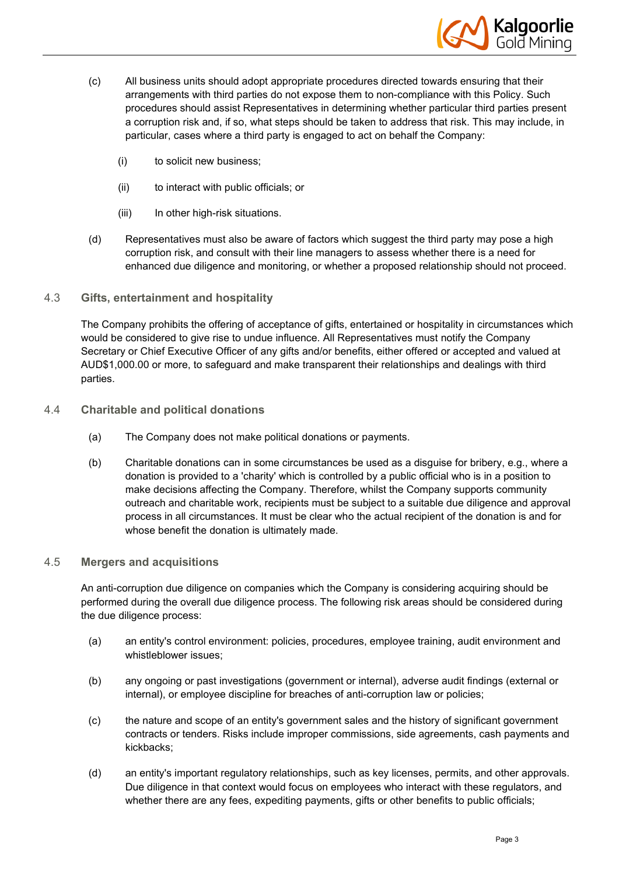

- (c) All business units should adopt appropriate procedures directed towards ensuring that their arrangements with third parties do not expose them to non-compliance with this Policy. Such procedures should assist Representatives in determining whether particular third parties present a corruption risk and, if so, what steps should be taken to address that risk. This may include, in particular, cases where a third party is engaged to act on behalf the Company:
	- (i) to solicit new business;
	- (ii) to interact with public officials; or
	- (iii) In other high-risk situations.
- (d) Representatives must also be aware of factors which suggest the third party may pose a high corruption risk, and consult with their line managers to assess whether there is a need for enhanced due diligence and monitoring, or whether a proposed relationship should not proceed.
- 4.3 **Gifts, entertainment and hospitality**

The Company prohibits the offering of acceptance of gifts, entertained or hospitality in circumstances which would be considered to give rise to undue influence. All Representatives must notify the Company Secretary or Chief Executive Officer of any gifts and/or benefits, either offered or accepted and valued at AUD\$1,000.00 or more, to safeguard and make transparent their relationships and dealings with third parties.

- 4.4 **Charitable and political donations**
	- (a) The Company does not make political donations or payments.
	- (b) Charitable donations can in some circumstances be used as a disguise for bribery, e.g., where a donation is provided to a 'charity' which is controlled by a public official who is in a position to make decisions affecting the Company. Therefore, whilst the Company supports community outreach and charitable work, recipients must be subject to a suitable due diligence and approval process in all circumstances. It must be clear who the actual recipient of the donation is and for whose benefit the donation is ultimately made.

#### 4.5 **Mergers and acquisitions**

An anti-corruption due diligence on companies which the Company is considering acquiring should be performed during the overall due diligence process. The following risk areas should be considered during the due diligence process:

- (a) an entity's control environment: policies, procedures, employee training, audit environment and whistleblower issues;
- (b) any ongoing or past investigations (government or internal), adverse audit findings (external or internal), or employee discipline for breaches of anti-corruption law or policies;
- (c) the nature and scope of an entity's government sales and the history of significant government contracts or tenders. Risks include improper commissions, side agreements, cash payments and kickbacks;
- (d) an entity's important regulatory relationships, such as key licenses, permits, and other approvals. Due diligence in that context would focus on employees who interact with these regulators, and whether there are any fees, expediting payments, gifts or other benefits to public officials;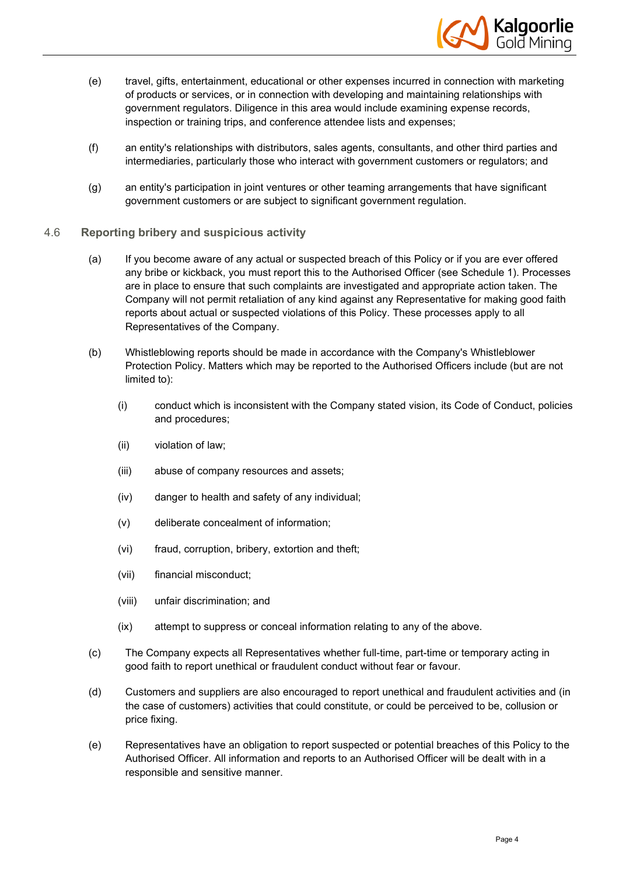

- (e) travel, gifts, entertainment, educational or other expenses incurred in connection with marketing of products or services, or in connection with developing and maintaining relationships with government regulators. Diligence in this area would include examining expense records, inspection or training trips, and conference attendee lists and expenses;
- (f) an entity's relationships with distributors, sales agents, consultants, and other third parties and intermediaries, particularly those who interact with government customers or regulators; and
- (g) an entity's participation in joint ventures or other teaming arrangements that have significant government customers or are subject to significant government regulation.
- 4.6 **Reporting bribery and suspicious activity**
	- (a) If you become aware of any actual or suspected breach of this Policy or if you are ever offered any bribe or kickback, you must report this to the Authorised Officer (see Schedule 1). Processes are in place to ensure that such complaints are investigated and appropriate action taken. The Company will not permit retaliation of any kind against any Representative for making good faith reports about actual or suspected violations of this Policy. These processes apply to all Representatives of the Company.
	- (b) Whistleblowing reports should be made in accordance with the Company's Whistleblower Protection Policy. Matters which may be reported to the Authorised Officers include (but are not limited to):
		- (i) conduct which is inconsistent with the Company stated vision, its Code of Conduct, policies and procedures;
		- (ii) violation of law;
		- (iii) abuse of company resources and assets;
		- (iv) danger to health and safety of any individual;
		- (v) deliberate concealment of information;
		- (vi) fraud, corruption, bribery, extortion and theft;
		- (vii) financial misconduct;
		- (viii) unfair discrimination; and
		- (ix) attempt to suppress or conceal information relating to any of the above.
	- (c) The Company expects all Representatives whether full-time, part-time or temporary acting in good faith to report unethical or fraudulent conduct without fear or favour.
	- (d) Customers and suppliers are also encouraged to report unethical and fraudulent activities and (in the case of customers) activities that could constitute, or could be perceived to be, collusion or price fixing.
	- (e) Representatives have an obligation to report suspected or potential breaches of this Policy to the Authorised Officer. All information and reports to an Authorised Officer will be dealt with in a responsible and sensitive manner.